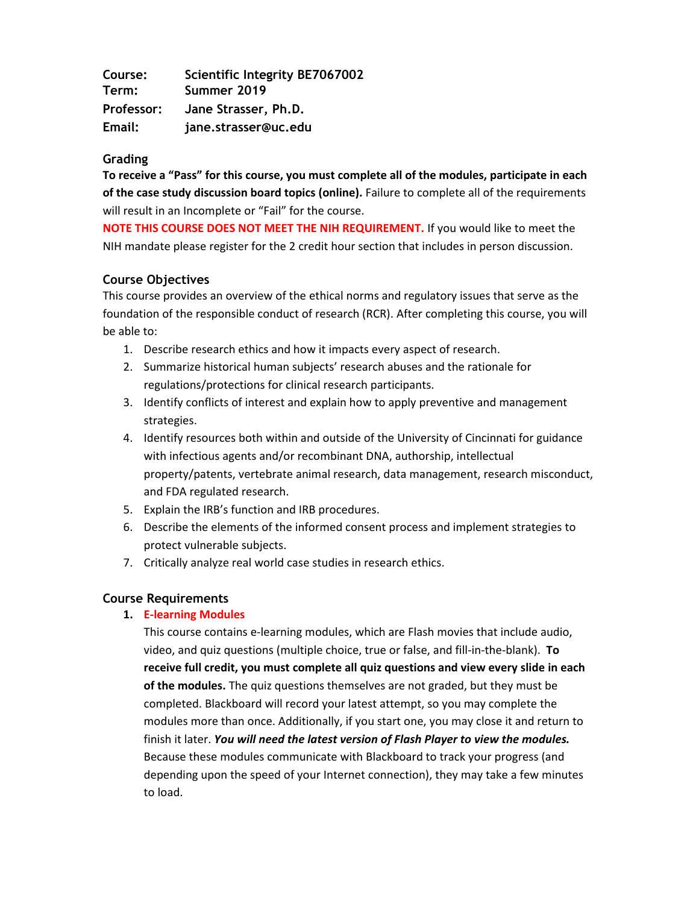| Course:    | <b>Scientific Integrity BE7067002</b> |  |
|------------|---------------------------------------|--|
| Term:      | Summer 2019                           |  |
| Professor: | Jane Strasser, Ph.D.                  |  |
| Email:     | jane.strasser@uc.edu                  |  |

#### **Grading**

**To receive a "Pass" for this course, you must complete all of the modules, participate in each of the case study discussion board topics (online).** Failure to complete all of the requirements will result in an Incomplete or "Fail" for the course.

**NOTE THIS COURSE DOES NOT MEET THE NIH REQUIREMENT.** If you would like to meet the NIH mandate please register for the 2 credit hour section that includes in person discussion.

## **Course Objectives**

This course provides an overview of the ethical norms and regulatory issues that serve as the foundation of the responsible conduct of research (RCR). After completing this course, you will be able to:

- 1. Describe research ethics and how it impacts every aspect of research.
- 2. Summarize historical human subjects' research abuses and the rationale for regulations/protections for clinical research participants.
- 3. Identify conflicts of interest and explain how to apply preventive and management strategies.
- 4. Identify resources both within and outside of the University of Cincinnati for guidance with infectious agents and/or recombinant DNA, authorship, intellectual property/patents, vertebrate animal research, data management, research misconduct, and FDA regulated research.
- 5. Explain the IRB's function and IRB procedures.
- 6. Describe the elements of the informed consent process and implement strategies to protect vulnerable subjects.
- 7. Critically analyze real world case studies in research ethics.

## **Course Requirements**

## **1. E-learning Modules**

This course contains e-learning modules, which are Flash movies that include audio, video, and quiz questions (multiple choice, true or false, and fill-in-the-blank). **To receive full credit, you must complete all quiz questions and view every slide in each of the modules.** The quiz questions themselves are not graded, but they must be completed. Blackboard will record your latest attempt, so you may complete the modules more than once. Additionally, if you start one, you may close it and return to finish it later. *You will need the latest version of Flash Player to view the modules.* Because these modules communicate with Blackboard to track your progress (and depending upon the speed of your Internet connection), they may take a few minutes to load.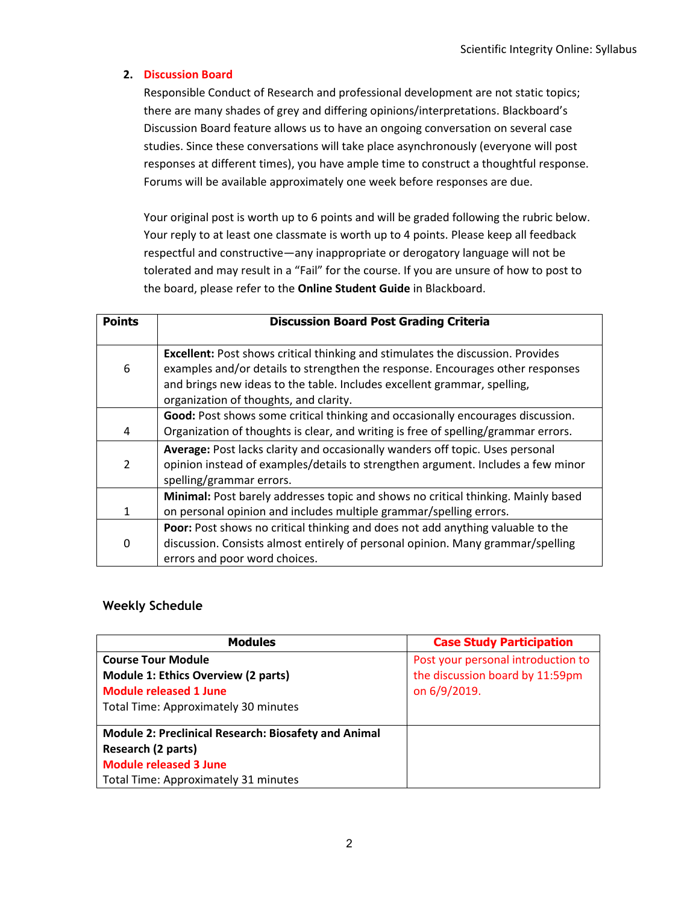#### **2. Discussion Board**

Responsible Conduct of Research and professional development are not static topics; there are many shades of grey and differing opinions/interpretations. Blackboard's Discussion Board feature allows us to have an ongoing conversation on several case studies. Since these conversations will take place asynchronously (everyone will post responses at different times), you have ample time to construct a thoughtful response. Forums will be available approximately one week before responses are due.

Your original post is worth up to 6 points and will be graded following the rubric below. Your reply to at least one classmate is worth up to 4 points. Please keep all feedback respectful and constructive—any inappropriate or derogatory language will not be tolerated and may result in a "Fail" for the course. If you are unsure of how to post to the board, please refer to the **Online Student Guide** in Blackboard.

| <b>Points</b>  | <b>Discussion Board Post Grading Criteria</b>                                                                                                                                                                                                                                                  |
|----------------|------------------------------------------------------------------------------------------------------------------------------------------------------------------------------------------------------------------------------------------------------------------------------------------------|
| 6              | <b>Excellent:</b> Post shows critical thinking and stimulates the discussion. Provides<br>examples and/or details to strengthen the response. Encourages other responses<br>and brings new ideas to the table. Includes excellent grammar, spelling,<br>organization of thoughts, and clarity. |
| 4              | Good: Post shows some critical thinking and occasionally encourages discussion.<br>Organization of thoughts is clear, and writing is free of spelling/grammar errors.                                                                                                                          |
| $\overline{2}$ | Average: Post lacks clarity and occasionally wanders off topic. Uses personal<br>opinion instead of examples/details to strengthen argument. Includes a few minor<br>spelling/grammar errors.                                                                                                  |
| $\mathbf{1}$   | Minimal: Post barely addresses topic and shows no critical thinking. Mainly based<br>on personal opinion and includes multiple grammar/spelling errors.                                                                                                                                        |
| 0              | <b>Poor:</b> Post shows no critical thinking and does not add anything valuable to the<br>discussion. Consists almost entirely of personal opinion. Many grammar/spelling<br>errors and poor word choices.                                                                                     |

#### **Weekly Schedule**

| <b>Modules</b>                                       | <b>Case Study Participation</b>    |
|------------------------------------------------------|------------------------------------|
| <b>Course Tour Module</b>                            | Post your personal introduction to |
| Module 1: Ethics Overview (2 parts)                  | the discussion board by 11:59pm    |
| <b>Module released 1 June</b>                        | on 6/9/2019.                       |
| Total Time: Approximately 30 minutes                 |                                    |
|                                                      |                                    |
| Module 2: Preclinical Research: Biosafety and Animal |                                    |
| Research (2 parts)                                   |                                    |
| <b>Module released 3 June</b>                        |                                    |
| Total Time: Approximately 31 minutes                 |                                    |